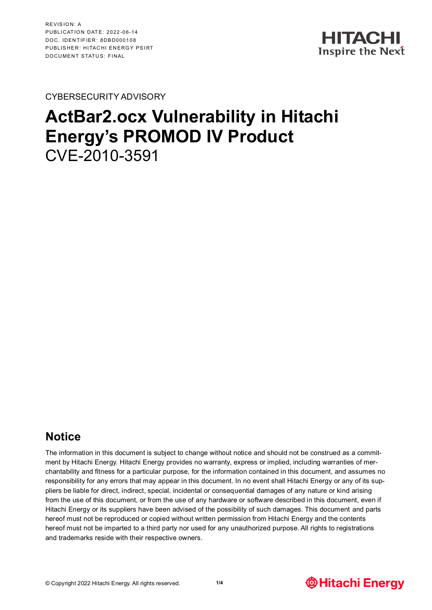

CYBERSECURITY ADVISORY

# **ActBar2.ocx Vulnerability in Hitachi Energy's PROMOD IV Product** CVE-2010-3591

### **Notice**

The information in this document is subject to change without notice and should not be construed as a commitment by Hitachi Energy. Hitachi Energy provides no warranty, express or implied, including warranties of merchantability and fitness for a particular purpose, for the information contained in this document, and assumes no responsibility for any errors that may appear in this document. In no event shall Hitachi Energy or any of its suppliers be liable for direct, indirect, special, incidental or consequential damages of any nature or kind arising from the use of this document, or from the use of any hardware or software described in this document, even if Hitachi Energy or its suppliers have been advised of the possibility of such damages. This document and parts hereof must not be reproduced or copied without written permission from Hitachi Energy and the contents hereof must not be imparted to a third party nor used for any unauthorized purpose. All rights to registrations and trademarks reside with their respective owners.

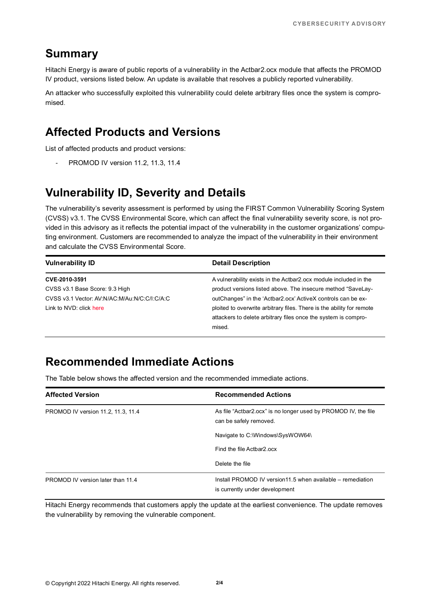# **Summary**

Hitachi Energy is aware of public reports of a vulnerability in the Actbar2.ocx module that affects the PROMOD IV product, versions listed below. An update is available that resolves a publicly reported vulnerability.

An attacker who successfully exploited this vulnerability could delete arbitrary files once the system is compromised.

### **Affected Products and Versions**

List of affected products and product versions:

PROMOD IV version 11.2, 11.3, 11.4

## **Vulnerability ID, Severity and Details**

The vulnerability's severity assessment is performed by using the FIRST Common Vulnerability Scoring System (CVSS) v3.1. The CVSS Environmental Score, which can affect the final vulnerability severity score, is not provided in this advisory as it reflects the potential impact of the vulnerability in the customer organizations' computing environment. Customers are recommended to analyze the impact of the vulnerability in their environment and calculate the CVSS Environmental Score.

| <b>Detail Description</b>                                             |
|-----------------------------------------------------------------------|
| A vulnerability exists in the Actbar 2.0 cx module included in the    |
| product versions listed above. The insecure method "SaveLay-          |
| outChanges" in the 'Actbar2.ocx' ActiveX controls can be ex-          |
| ploited to overwrite arbitrary files. There is the ability for remote |
| attackers to delete arbitrary files once the system is compro-        |
| mised.                                                                |
|                                                                       |

### **Recommended Immediate Actions**

The Table below shows the affected version and the recommended immediate actions.

| <b>Affected Version</b>            | <b>Recommended Actions</b>                                                                   |
|------------------------------------|----------------------------------------------------------------------------------------------|
| PROMOD IV version 11.2, 11.3, 11.4 | As file "Actbar2.ocx" is no longer used by PROMOD IV, the file<br>can be safely removed.     |
|                                    | Navigate to C:\Windows\SysWOW64\                                                             |
|                                    | Find the file Actbar2.ocx                                                                    |
|                                    | Delete the file                                                                              |
| PROMOD IV version later than 11.4  | Install PROMOD IV version11.5 when available – remediation<br>is currently under development |

Hitachi Energy recommends that customers apply the update at the earliest convenience. The update removes the vulnerability by removing the vulnerable component.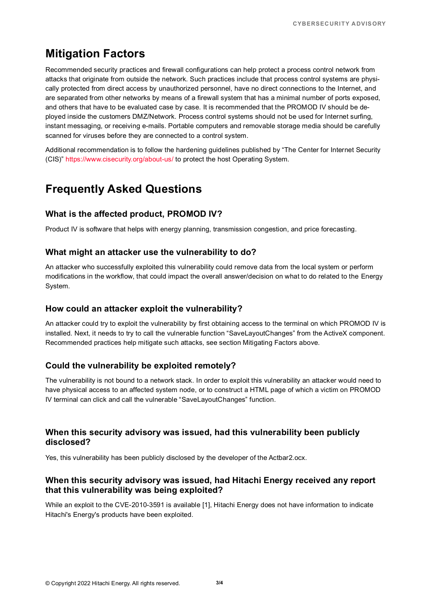# **Mitigation Factors**

Recommended security practices and firewall configurations can help protect a process control network from attacks that originate from outside the network. Such practices include that process control systems are physically protected from direct access by unauthorized personnel, have no direct connections to the Internet, and are separated from other networks by means of a firewall system that has a minimal number of ports exposed, and others that have to be evaluated case by case. It is recommended that the PROMOD IV should be deployed inside the customers DMZ/Network. Process control systems should not be used for Internet surfing, instant messaging, or receiving e-mails. Portable computers and removable storage media should be carefully scanned for viruses before they are connected to a control system.

Additional recommendation is to follow the hardening guidelines published by "The Center for Internet Security (CIS)"<https://www.cisecurity.org/about-us/> to protect the host Operating System.

# **Frequently Asked Questions**

#### **What is the affected product, PROMOD IV?**

Product IV is software that helps with energy planning, transmission congestion, and price forecasting.

#### **What might an attacker use the vulnerability to do?**

An attacker who successfully exploited this vulnerability could remove data from the local system or perform modifications in the workflow, that could impact the overall answer/decision on what to do related to the Energy System.

#### **How could an attacker exploit the vulnerability?**

An attacker could try to exploit the vulnerability by first obtaining access to the terminal on which PROMOD IV is installed. Next, it needs to try to call the vulnerable function "SaveLayoutChanges" from the ActiveX component. Recommended practices help mitigate such attacks, see section Mitigating Factors above.

#### **Could the vulnerability be exploited remotely?**

The vulnerability is not bound to a network stack. In order to exploit this vulnerability an attacker would need to have physical access to an affected system node, or to construct a HTML page of which a victim on PROMOD IV terminal can click and call the vulnerable "SaveLayoutChanges" function.

#### **When this security advisory was issued, had this vulnerability been publicly disclosed?**

Yes, this vulnerability has been publicly disclosed by the developer of the Actbar2.ocx.

#### **When this security advisory was issued, had Hitachi Energy received any report that this vulnerability was being exploited?**

While an exploit to the CVE-2010-3591 is available [1], Hitachi Energy does not have information to indicate Hitachi's Energy's products have been exploited.